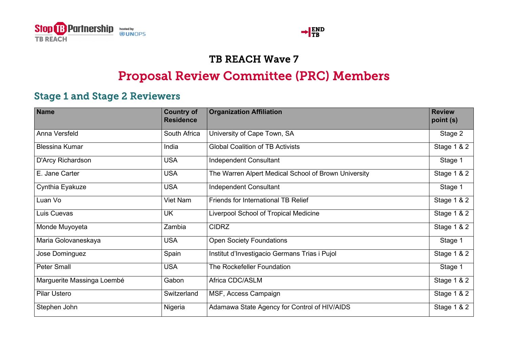



## TB REACH Wave 7

## Proposal Review Committee (PRC) Members

## Stage 1 and Stage 2 Reviewers

| <b>Name</b>                | <b>Country of</b><br><b>Residence</b> | <b>Organization Affiliation</b>                      | <b>Review</b><br>point (s) |
|----------------------------|---------------------------------------|------------------------------------------------------|----------------------------|
| Anna Versfeld              | South Africa                          | University of Cape Town, SA                          | Stage 2                    |
| <b>Blessina Kumar</b>      | India                                 | <b>Global Coalition of TB Activists</b>              | <b>Stage 1 &amp; 2</b>     |
| D'Arcy Richardson          | <b>USA</b>                            | <b>Independent Consultant</b>                        | Stage 1                    |
| E. Jane Carter             | <b>USA</b>                            | The Warren Alpert Medical School of Brown University | <b>Stage 1 &amp; 2</b>     |
| Cynthia Eyakuze            | <b>USA</b>                            | <b>Independent Consultant</b>                        | Stage 1                    |
| Luan Vo                    | Viet Nam                              | <b>Friends for International TB Relief</b>           | Stage 1 & 2                |
| Luis Cuevas                | <b>UK</b>                             | Liverpool School of Tropical Medicine                | <b>Stage 1 &amp; 2</b>     |
| Monde Muyoyeta             | Zambia                                | <b>CIDRZ</b>                                         | Stage 1 & 2                |
| Maria Golovaneskaya        | <b>USA</b>                            | <b>Open Society Foundations</b>                      | Stage 1                    |
| Jose Dominguez             | Spain                                 | Institut d'Investigacio Germans Trias i Pujol        | Stage 1 & 2                |
| <b>Peter Small</b>         | <b>USA</b>                            | The Rockefeller Foundation                           | Stage 1                    |
| Marguerite Massinga Loembé | Gabon                                 | Africa CDC/ASLM                                      | Stage 1 & 2                |
| <b>Pilar Ustero</b>        | Switzerland                           | MSF, Access Campaign                                 | Stage 1 & 2                |
| Stephen John               | Nigeria                               | Adamawa State Agency for Control of HIV/AIDS         | Stage 1 & 2                |